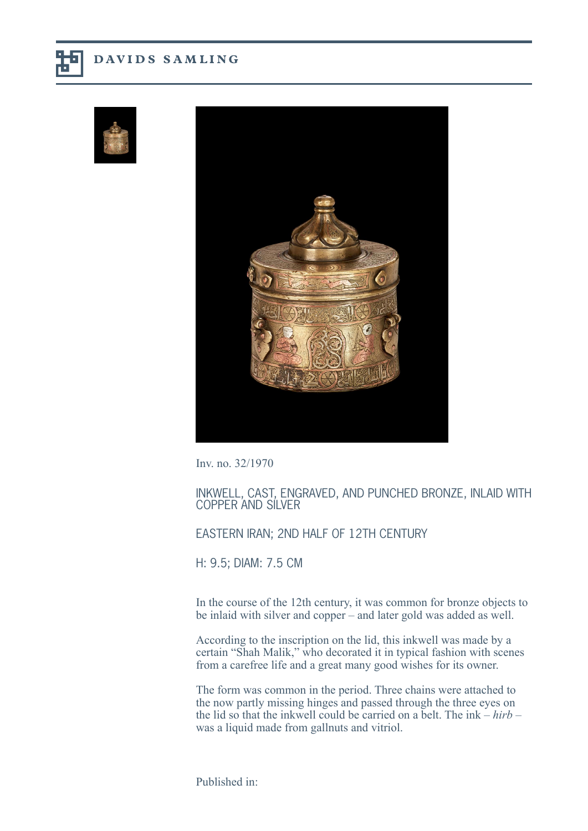





Inv. no. 32/1970

INKWELL, CAST, ENGRAVED, AND PUNCHED BRONZE, INLAID WITH COPPER AND SILVER

## EASTERN IRAN; 2ND HALF OF 12TH CENTURY

H: 9.5; DIAM: 7.5 CM

In the course of the 12th century, it was common for bronze objects to be inlaid with silver and copper – and later gold was added as well.

According to the inscription on the lid, this inkwell was made by a certain "Shah Malik," who decorated it in typical fashion with scenes from a carefree life and a great many good wishes for its owner.

The form was common in the period. Three chains were attached to the now partly missing hinges and passed through the three eyes on the lid so that the inkwell could be carried on a belt. The ink – *hirb* – was a liquid made from gallnuts and vitriol.

Published in: